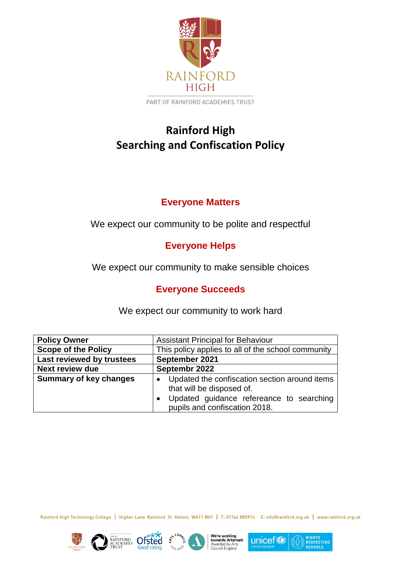

PART OF RAINFORD ACADEMIES TRUST

# **Rainford High Searching and Confiscation Policy**

# **Everyone Matters**

We expect our community to be polite and respectful

# **Everyone Helps**

We expect our community to make sensible choices

# **Everyone Succeeds**

| <b>Policy Owner</b>           | <b>Assistant Principal for Behaviour</b>                                                                                                                |
|-------------------------------|---------------------------------------------------------------------------------------------------------------------------------------------------------|
| <b>Scope of the Policy</b>    | This policy applies to all of the school community                                                                                                      |
| Last reviewed by trustees     | September 2021                                                                                                                                          |
| <b>Next review due</b>        | Septembr 2022                                                                                                                                           |
| <b>Summary of key changes</b> | Updated the confiscation section around items<br>that will be disposed of.<br>Updated guidance refereance to searching<br>pupils and confiscation 2018. |

We expect our community to work hard

Rainford High Technology College | Higher Lane Rainford St. Helens WA11 8NY | T: 01744 885914 E: info@rainford.org.uk | www.rainford.org.uk











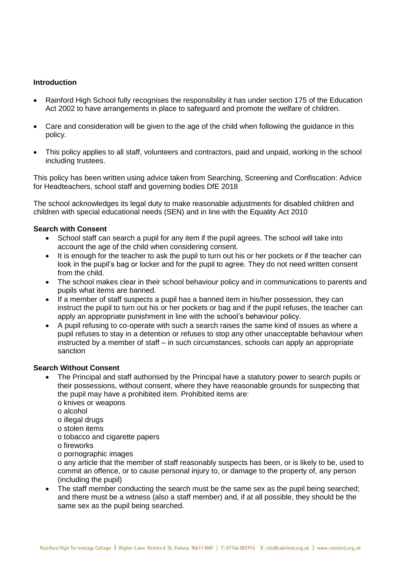# **Introduction**

- Rainford High School fully recognises the responsibility it has under section 175 of the Education Act 2002 to have arrangements in place to safeguard and promote the welfare of children.
- Care and consideration will be given to the age of the child when following the guidance in this policy.
- This policy applies to all staff, volunteers and contractors, paid and unpaid, working in the school including trustees.

This policy has been written using advice taken from Searching, Screening and Confiscation: Advice for Headteachers, school staff and governing bodies DfE 2018

The school acknowledges its legal duty to make reasonable adjustments for disabled children and children with special educational needs (SEN) and in line with the Equality Act 2010

### **Search with Consent**

- School staff can search a pupil for any item if the pupil agrees. The school will take into account the age of the child when considering consent.
- It is enough for the teacher to ask the pupil to turn out his or her pockets or if the teacher can look in the pupil's bag or locker and for the pupil to agree. They do not need written consent from the child.
- The school makes clear in their school behaviour policy and in communications to parents and pupils what items are banned.
- If a member of staff suspects a pupil has a banned item in his/her possession, they can instruct the pupil to turn out his or her pockets or bag and if the pupil refuses, the teacher can apply an appropriate punishment in line with the school's behaviour policy.
- A pupil refusing to co-operate with such a search raises the same kind of issues as where a pupil refuses to stay in a detention or refuses to stop any other unacceptable behaviour when instructed by a member of staff – in such circumstances, schools can apply an appropriate sanction

#### **Search Without Consent**

- The Principal and staff authorised by the Principal have a statutory power to search pupils or their possessions, without consent, where they have reasonable grounds for suspecting that the pupil may have a prohibited item. Prohibited items are:
	- o knives or weapons
	- o alcohol
	- o illegal drugs
	- o stolen items
	- o tobacco and cigarette papers
	- o fireworks
	- o pornographic images

o any article that the member of staff reasonably suspects has been, or is likely to be, used to commit an offence, or to cause personal injury to, or damage to the property of, any person (including the pupil)

• The staff member conducting the search must be the same sex as the pupil being searched; and there must be a witness (also a staff member) and, if at all possible, they should be the same sex as the pupil being searched.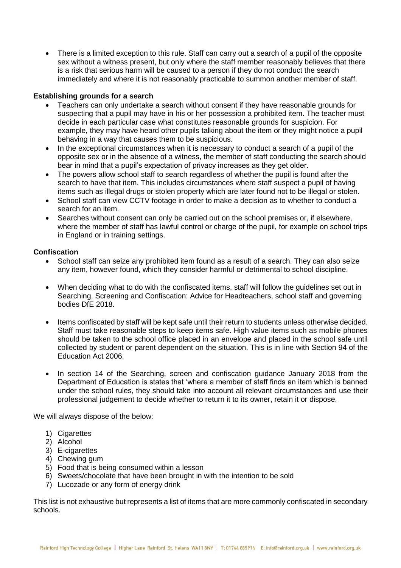• There is a limited exception to this rule. Staff can carry out a search of a pupil of the opposite sex without a witness present, but only where the staff member reasonably believes that there is a risk that serious harm will be caused to a person if they do not conduct the search immediately and where it is not reasonably practicable to summon another member of staff.

# **Establishing grounds for a search**

- Teachers can only undertake a search without consent if they have reasonable grounds for suspecting that a pupil may have in his or her possession a prohibited item. The teacher must decide in each particular case what constitutes reasonable grounds for suspicion. For example, they may have heard other pupils talking about the item or they might notice a pupil behaving in a way that causes them to be suspicious.
- In the exceptional circumstances when it is necessary to conduct a search of a pupil of the opposite sex or in the absence of a witness, the member of staff conducting the search should bear in mind that a pupil's expectation of privacy increases as they get older.
- The powers allow school staff to search regardless of whether the pupil is found after the search to have that item. This includes circumstances where staff suspect a pupil of having items such as illegal drugs or stolen property which are later found not to be illegal or stolen.
- School staff can view CCTV footage in order to make a decision as to whether to conduct a search for an item.
- Searches without consent can only be carried out on the school premises or, if elsewhere, where the member of staff has lawful control or charge of the pupil, for example on school trips in England or in training settings.

#### **Confiscation**

- School staff can seize any prohibited item found as a result of a search. They can also seize any item, however found, which they consider harmful or detrimental to school discipline.
- When deciding what to do with the confiscated items, staff will follow the guidelines set out in Searching, Screening and Confiscation: Advice for Headteachers, school staff and governing bodies DfE 2018.
- Items confiscated by staff will be kept safe until their return to students unless otherwise decided. Staff must take reasonable steps to keep items safe. High value items such as mobile phones should be taken to the school office placed in an envelope and placed in the school safe until collected by student or parent dependent on the situation. This is in line with Section 94 of the Education Act 2006.
- In section 14 of the Searching, screen and confiscation guidance January 2018 from the Department of Education is states that 'where a member of staff finds an item which is banned under the school rules, they should take into account all relevant circumstances and use their professional judgement to decide whether to return it to its owner, retain it or dispose.

We will always dispose of the below:

- 1) Cigarettes
- 2) Alcohol
- 3) E-cigarettes
- 4) Chewing gum
- 5) Food that is being consumed within a lesson
- 6) Sweets/chocolate that have been brought in with the intention to be sold
- 7) Lucozade or any form of energy drink

This list is not exhaustive but represents a list of items that are more commonly confiscated in secondary schools.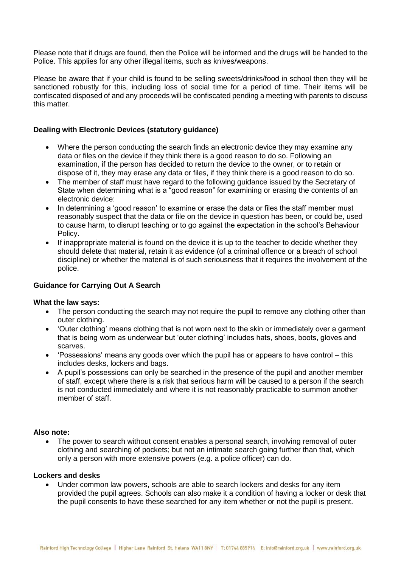Please note that if drugs are found, then the Police will be informed and the drugs will be handed to the Police. This applies for any other illegal items, such as knives/weapons.

Please be aware that if your child is found to be selling sweets/drinks/food in school then they will be sanctioned robustly for this, including loss of social time for a period of time. Their items will be confiscated disposed of and any proceeds will be confiscated pending a meeting with parents to discuss this matter.

### **Dealing with Electronic Devices (statutory guidance)**

- Where the person conducting the search finds an electronic device they may examine any data or files on the device if they think there is a good reason to do so. Following an examination, if the person has decided to return the device to the owner, or to retain or dispose of it, they may erase any data or files, if they think there is a good reason to do so.
- The member of staff must have regard to the following guidance issued by the Secretary of State when determining what is a "good reason" for examining or erasing the contents of an electronic device:
- In determining a 'good reason' to examine or erase the data or files the staff member must reasonably suspect that the data or file on the device in question has been, or could be, used to cause harm, to disrupt teaching or to go against the expectation in the school's Behaviour Policy.
- If inappropriate material is found on the device it is up to the teacher to decide whether they should delete that material, retain it as evidence (of a criminal offence or a breach of school discipline) or whether the material is of such seriousness that it requires the involvement of the police.

#### **Guidance for Carrying Out A Search**

#### **What the law says:**

- The person conducting the search may not require the pupil to remove any clothing other than outer clothing.
- 'Outer clothing' means clothing that is not worn next to the skin or immediately over a garment that is being worn as underwear but 'outer clothing' includes hats, shoes, boots, gloves and scarves.
- 'Possessions' means any goods over which the pupil has or appears to have control this includes desks, lockers and bags.
- A pupil's possessions can only be searched in the presence of the pupil and another member of staff, except where there is a risk that serious harm will be caused to a person if the search is not conducted immediately and where it is not reasonably practicable to summon another member of staff.

#### **Also note:**

• The power to search without consent enables a personal search, involving removal of outer clothing and searching of pockets; but not an intimate search going further than that, which only a person with more extensive powers (e.g. a police officer) can do.

#### **Lockers and desks**

 Under common law powers, schools are able to search lockers and desks for any item provided the pupil agrees. Schools can also make it a condition of having a locker or desk that the pupil consents to have these searched for any item whether or not the pupil is present.